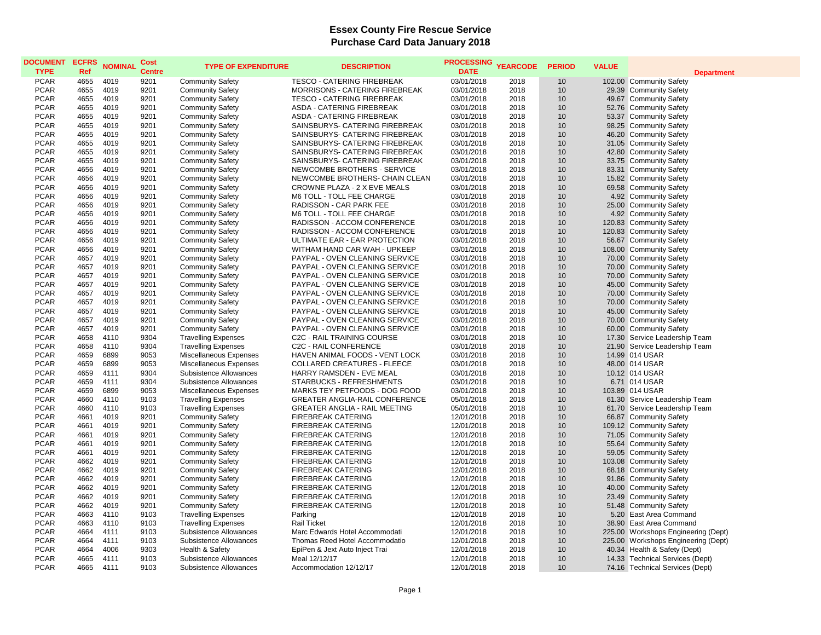## **Essex County Fire Rescue Service Purchase Card Data January 2018**

| <b>DOCUMENT</b><br><b>TYPE</b> | <b>ECFRS</b><br>Ref | <b>NOMINAL</b> | Cost<br><b>Centre</b> | <b>TYPE OF EXPENDITURE</b> | <b>DESCRIPTION</b>                    | <b>PROCESSING</b><br><b>DATE</b> | <b>YEARCODE</b> | <b>PERIOD</b> | <b>VALUE</b> | <b>Department</b>                   |
|--------------------------------|---------------------|----------------|-----------------------|----------------------------|---------------------------------------|----------------------------------|-----------------|---------------|--------------|-------------------------------------|
| <b>PCAR</b>                    | 4655                | 4019           | 9201                  | <b>Community Safety</b>    | <b>TESCO - CATERING FIREBREAK</b>     | 03/01/2018                       | 2018            | 10            |              | 102.00 Community Safety             |
| <b>PCAR</b>                    | 4655                | 4019           | 9201                  | <b>Community Safety</b>    | MORRISONS - CATERING FIREBREAK        | 03/01/2018                       | 2018            | 10            |              | 29.39 Community Safety              |
| <b>PCAR</b>                    | 4655                | 4019           | 9201                  | <b>Community Safety</b>    | <b>TESCO - CATERING FIREBREAK</b>     | 03/01/2018                       | 2018            | 10            |              | 49.67 Community Safety              |
| <b>PCAR</b>                    | 4655                | 4019           | 9201                  | <b>Community Safety</b>    | ASDA - CATERING FIREBREAK             | 03/01/2018                       | 2018            | 10            |              | 52.76 Community Safety              |
| <b>PCAR</b>                    | 4655                | 4019           | 9201                  | <b>Community Safety</b>    | ASDA - CATERING FIREBREAK             | 03/01/2018                       | 2018            | 10            |              | 53.37 Community Safety              |
| <b>PCAR</b>                    | 4655                | 4019           | 9201                  | <b>Community Safety</b>    | SAINSBURYS- CATERING FIREBREAK        | 03/01/2018                       | 2018            | 10            |              | 98.25 Community Safety              |
| <b>PCAR</b>                    | 4655                | 4019           | 9201                  | <b>Community Safety</b>    | SAINSBURYS- CATERING FIREBREAK        | 03/01/2018                       | 2018            | 10            |              | 46.20 Community Safety              |
| <b>PCAR</b>                    | 4655                | 4019           | 9201                  | <b>Community Safety</b>    | SAINSBURYS- CATERING FIREBREAK        | 03/01/2018                       | 2018            | 10            |              | 31.05 Community Safety              |
| <b>PCAR</b>                    | 4655                | 4019           | 9201                  | <b>Community Safety</b>    | SAINSBURYS- CATERING FIREBREAK        | 03/01/2018                       | 2018            | 10            |              | 42.80 Community Safety              |
| <b>PCAR</b>                    | 4655                | 4019           | 9201                  | <b>Community Safety</b>    | SAINSBURYS- CATERING FIREBREAK        | 03/01/2018                       | 2018            | 10            |              | 33.75 Community Safety              |
| <b>PCAR</b>                    | 4656                | 4019           | 9201                  | <b>Community Safety</b>    | NEWCOMBE BROTHERS - SERVICE           | 03/01/2018                       | 2018            | 10            |              | 83.31 Community Safety              |
| <b>PCAR</b>                    | 4656                | 4019           | 9201                  | <b>Community Safety</b>    | NEWCOMBE BROTHERS- CHAIN CLEAN        | 03/01/2018                       | 2018            | 10            |              | 15.82 Community Safety              |
| <b>PCAR</b>                    | 4656                | 4019           | 9201                  | <b>Community Safety</b>    | CROWNE PLAZA - 2 X EVE MEALS          | 03/01/2018                       | 2018            | 10            |              | 69.58 Community Safety              |
| <b>PCAR</b>                    | 4656                | 4019           | 9201                  | <b>Community Safety</b>    | M6 TOLL - TOLL FEE CHARGE             | 03/01/2018                       | 2018            | 10            |              | 4.92 Community Safety               |
| <b>PCAR</b>                    | 4656                | 4019           | 9201                  | <b>Community Safety</b>    | RADISSON - CAR PARK FEE               | 03/01/2018                       | 2018            | 10            |              | 25.00 Community Safety              |
| <b>PCAR</b>                    | 4656                | 4019           | 9201                  | <b>Community Safety</b>    | M6 TOLL - TOLL FEE CHARGE             | 03/01/2018                       | 2018            | 10            |              | 4.92 Community Safety               |
| <b>PCAR</b>                    | 4656                | 4019           | 9201                  | <b>Community Safety</b>    | RADISSON - ACCOM CONFERENCE           | 03/01/2018                       | 2018            | 10            |              | 120.83 Community Safety             |
| <b>PCAR</b>                    | 4656                | 4019           | 9201                  | <b>Community Safety</b>    | RADISSON - ACCOM CONFERENCE           | 03/01/2018                       | 2018            | 10            |              | 120.83 Community Safety             |
| <b>PCAR</b>                    | 4656                | 4019           | 9201                  | <b>Community Safety</b>    | ULTIMATE EAR - EAR PROTECTION         | 03/01/2018                       | 2018            | 10            |              | 56.67 Community Safety              |
| <b>PCAR</b>                    | 4656                | 4019           | 9201                  | <b>Community Safety</b>    | WITHAM HAND CAR WAH - UPKEEP          | 03/01/2018                       | 2018            | 10            |              | 108.00 Community Safety             |
| <b>PCAR</b>                    | 4657                | 4019           | 9201                  | <b>Community Safety</b>    | <b>PAYPAL - OVEN CLEANING SERVICE</b> | 03/01/2018                       | 2018            | 10            |              | 70.00 Community Safety              |
| <b>PCAR</b>                    | 4657                | 4019           | 9201                  | <b>Community Safety</b>    | PAYPAL - OVEN CLEANING SERVICE        | 03/01/2018                       | 2018            | 10            |              | 70.00 Community Safety              |
| <b>PCAR</b>                    | 4657                | 4019           | 9201                  | <b>Community Safety</b>    | PAYPAL - OVEN CLEANING SERVICE        | 03/01/2018                       | 2018            | 10            |              | 70.00 Community Safety              |
| <b>PCAR</b>                    | 4657                | 4019           | 9201                  | <b>Community Safety</b>    | PAYPAL - OVEN CLEANING SERVICE        | 03/01/2018                       | 2018            | 10            |              | 45.00 Community Safety              |
| <b>PCAR</b>                    | 4657                | 4019           | 9201                  | <b>Community Safety</b>    | PAYPAL - OVEN CLEANING SERVICE        | 03/01/2018                       | 2018            | 10            |              | 70.00 Community Safety              |
| <b>PCAR</b>                    | 4657                | 4019           | 9201                  | <b>Community Safety</b>    | PAYPAL - OVEN CLEANING SERVICE        | 03/01/2018                       | 2018            | 10            |              | 70.00 Community Safety              |
| <b>PCAR</b>                    | 4657                | 4019           | 9201                  | <b>Community Safety</b>    | PAYPAL - OVEN CLEANING SERVICE        | 03/01/2018                       | 2018            | 10            |              | 45.00 Community Safety              |
| <b>PCAR</b>                    | 4657                | 4019           | 9201                  | <b>Community Safety</b>    | PAYPAL - OVEN CLEANING SERVICE        | 03/01/2018                       | 2018            | 10            |              | 70.00 Community Safety              |
| <b>PCAR</b>                    | 4657                | 4019           | 9201                  | <b>Community Safety</b>    | PAYPAL - OVEN CLEANING SERVICE        | 03/01/2018                       | 2018            | 10            |              | 60.00 Community Safety              |
| <b>PCAR</b>                    | 4658                | 4110           | 9304                  | <b>Travelling Expenses</b> | <b>C2C - RAIL TRAINING COURSE</b>     | 03/01/2018                       | 2018            | 10            |              | 17.30 Service Leadership Team       |
| <b>PCAR</b>                    | 4658                | 4110           | 9304                  | <b>Travelling Expenses</b> | C2C - RAIL CONFERENCE                 | 03/01/2018                       | 2018            | 10            |              | 21.90 Service Leadership Team       |
| <b>PCAR</b>                    | 4659                | 6899           | 9053                  | Miscellaneous Expenses     | HAVEN ANIMAL FOODS - VENT LOCK        | 03/01/2018                       | 2018            | 10            |              | 14.99 014 USAR                      |
| <b>PCAR</b>                    | 4659                | 6899           | 9053                  | Miscellaneous Expenses     | <b>COLLARED CREATURES - FLEECE</b>    | 03/01/2018                       | 2018            | 10            |              | 48.00 014 USAR                      |
| <b>PCAR</b>                    | 4659                | 4111           | 9304                  | Subsistence Allowances     | HARRY RAMSDEN - EVE MEAL              | 03/01/2018                       | 2018            | 10            |              | 10.12 014 USAR                      |
| <b>PCAR</b>                    | 4659                | 4111           | 9304                  | Subsistence Allowances     | STARBUCKS - REFRESHMENTS              | 03/01/2018                       | 2018            | 10            |              | 6.71 014 USAR                       |
| <b>PCAR</b>                    | 4659                | 6899           | 9053                  | Miscellaneous Expenses     | MARKS TEY PETFOODS - DOG FOOD         | 03/01/2018                       | 2018            | 10            |              | 103.89 014 USAR                     |
| <b>PCAR</b>                    | 4660                | 4110           | 9103                  | <b>Travelling Expenses</b> | <b>GREATER ANGLIA-RAIL CONFERENCE</b> | 05/01/2018                       | 2018            | 10            |              | 61.30 Service Leadership Team       |
| <b>PCAR</b>                    | 4660                | 4110           | 9103                  | <b>Travelling Expenses</b> | <b>GREATER ANGLIA - RAIL MEETING</b>  | 05/01/2018                       | 2018            | 10            |              | 61.70 Service Leadership Team       |
| <b>PCAR</b>                    | 4661                | 4019           | 9201                  | <b>Community Safety</b>    | <b>FIREBREAK CATERING</b>             | 12/01/2018                       | 2018            | 10            |              | 66.87 Community Safety              |
| <b>PCAR</b>                    | 4661                | 4019           | 9201                  | <b>Community Safety</b>    | <b>FIREBREAK CATERING</b>             | 12/01/2018                       | 2018            | 10            |              | 109.12 Community Safety             |
| <b>PCAR</b>                    | 4661                | 4019           | 9201                  | <b>Community Safety</b>    | <b>FIREBREAK CATERING</b>             | 12/01/2018                       | 2018            | 10            |              | 71.05 Community Safety              |
| <b>PCAR</b>                    | 4661                | 4019           | 9201                  | <b>Community Safety</b>    | FIREBREAK CATERING                    | 12/01/2018                       | 2018            | 10            |              | 55.64 Community Safety              |
| <b>PCAR</b>                    | 4661                | 4019           | 9201                  | <b>Community Safety</b>    | <b>FIREBREAK CATERING</b>             | 12/01/2018                       | 2018            | 10            |              | 59.05 Community Safety              |
| <b>PCAR</b>                    | 4662                | 4019           | 9201                  | <b>Community Safety</b>    | <b>FIREBREAK CATERING</b>             | 12/01/2018                       | 2018            | 10            |              | 103.08 Community Safety             |
| <b>PCAR</b>                    | 4662                | 4019           | 9201                  | <b>Community Safety</b>    | FIREBREAK CATERING                    | 12/01/2018                       | 2018            | 10            |              | 68.18 Community Safety              |
| <b>PCAR</b>                    | 4662                | 4019           | 9201                  | <b>Community Safety</b>    | <b>FIREBREAK CATERING</b>             | 12/01/2018                       | 2018            | 10            |              | 91.86 Community Safety              |
| <b>PCAR</b>                    | 4662                | 4019           | 9201                  | <b>Community Safety</b>    | <b>FIREBREAK CATERING</b>             | 12/01/2018                       | 2018            | 10            |              | 40.00 Community Safety              |
| <b>PCAR</b>                    | 4662                | 4019           | 9201                  | <b>Community Safety</b>    | <b>FIREBREAK CATERING</b>             | 12/01/2018                       | 2018            | 10            |              | 23.49 Community Safety              |
| <b>PCAR</b>                    | 4662                | 4019           | 9201                  | <b>Community Safety</b>    | FIREBREAK CATERING                    | 12/01/2018                       | 2018            | 10            |              | 51.48 Community Safety              |
| <b>PCAR</b>                    | 4663                | 4110           | 9103                  | <b>Travelling Expenses</b> | Parking                               | 12/01/2018                       | 2018            | 10            |              | 5.20 East Area Command              |
| <b>PCAR</b>                    | 4663                | 4110           | 9103                  | <b>Travelling Expenses</b> | <b>Rail Ticket</b>                    | 12/01/2018                       | 2018            | 10            |              | 38.90 East Area Command             |
| <b>PCAR</b>                    | 4664                | 4111           | 9103                  | Subsistence Allowances     | Marc Edwards Hotel Accommodati        | 12/01/2018                       | 2018            | 10            |              | 225.00 Workshops Engineering (Dept) |
| <b>PCAR</b>                    | 4664                | 4111           | 9103                  | Subsistence Allowances     | Thomas Reed Hotel Accommodatio        | 12/01/2018                       | 2018            | 10            |              | 225.00 Workshops Engineering (Dept) |
| <b>PCAR</b>                    | 4664                | 4006           | 9303                  | Health & Safety            | EpiPen & Jext Auto Inject Trai        | 12/01/2018                       | 2018            | 10            |              | 40.34 Health & Safety (Dept)        |
| <b>PCAR</b>                    | 4665                | 4111           | 9103                  | Subsistence Allowances     | Meal 12/12/17                         | 12/01/2018                       | 2018            | 10            |              | 14.33 Technical Services (Dept)     |
| <b>PCAR</b>                    | 4665                | 4111           | 9103                  | Subsistence Allowances     | Accommodation 12/12/17                | 12/01/2018                       | 2018            | 10            |              | 74.16 Technical Services (Dept)     |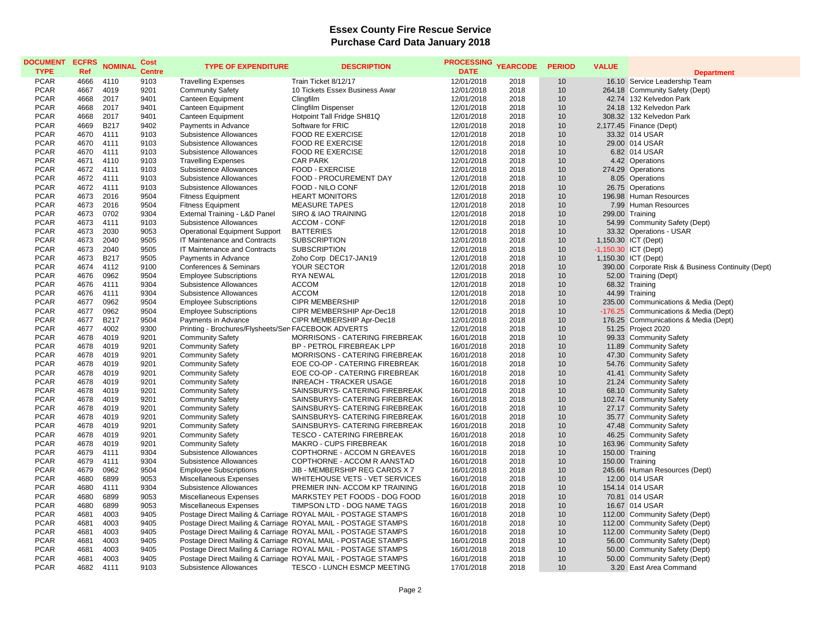## **Essex County Fire Rescue Service Purchase Card Data January 2018**

| <b>DOCUMENT</b><br><b>TYPE</b> | <b>ECFRS</b><br><b>Ref</b> | <b>NOMINAL</b>      | Cost<br><b>Centre</b> | <b>TYPE OF EXPENDITURE</b>                          | <b>DESCRIPTION</b>                                            | PROCESSING YEARCODE<br><b>DATE</b> |              | <b>PERIOD</b> | <b>VALUE</b> |                                                           |
|--------------------------------|----------------------------|---------------------|-----------------------|-----------------------------------------------------|---------------------------------------------------------------|------------------------------------|--------------|---------------|--------------|-----------------------------------------------------------|
| <b>PCAR</b>                    | 4666                       | 4110                | 9103                  | <b>Travelling Expenses</b>                          | Train Ticket 8/12/17                                          | 12/01/2018                         | 2018         | 10            |              | <b>Department</b><br>16.10 Service Leadership Team        |
| <b>PCAR</b>                    | 4667                       | 4019                | 9201                  |                                                     |                                                               | 12/01/2018                         | 2018         |               |              |                                                           |
| <b>PCAR</b>                    | 4668                       | 2017                | 9401                  | <b>Community Safety</b><br><b>Canteen Equipment</b> | 10 Tickets Essex Business Awar                                | 12/01/2018                         | 2018         | 10<br>10      |              | 264.18 Community Safety (Dept)<br>42.74 132 Kelvedon Park |
| <b>PCAR</b>                    | 4668                       | 2017                | 9401                  |                                                     | Clingfilm                                                     | 12/01/2018                         | 2018         | 10            |              | 24.18 132 Kelvedon Park                                   |
| <b>PCAR</b>                    | 4668                       |                     | 9401                  | Canteen Equipment                                   | <b>Clingfilm Dispenser</b>                                    |                                    |              |               |              |                                                           |
|                                |                            | 2017                |                       | Canteen Equipment                                   | Hotpoint Tall Fridge SH81Q                                    | 12/01/2018                         | 2018         | 10            |              | 308.32 132 Kelvedon Park                                  |
| <b>PCAR</b><br><b>PCAR</b>     | 4669<br>4670               | <b>B217</b><br>4111 | 9402<br>9103          | Payments in Advance                                 | Software for FRIC                                             | 12/01/2018                         | 2018<br>2018 | 10<br>10      |              | 2,177.45 Finance (Dept)                                   |
|                                |                            |                     |                       | Subsistence Allowances                              | <b>FOOD RE EXERCISE</b>                                       | 12/01/2018                         |              |               |              | 33.32 014 USAR                                            |
| <b>PCAR</b>                    | 4670                       | 4111                | 9103                  | Subsistence Allowances                              | <b>FOOD RE EXERCISE</b>                                       | 12/01/2018                         | 2018         | 10            |              | 29.00 014 USAR                                            |
| <b>PCAR</b>                    | 4670                       | 4111                | 9103                  | Subsistence Allowances                              | <b>FOOD RE EXERCISE</b>                                       | 12/01/2018                         | 2018         | 10            |              | 6.82 014 USAR                                             |
| <b>PCAR</b>                    | 4671                       | 4110                | 9103                  | <b>Travelling Expenses</b>                          | <b>CAR PARK</b>                                               | 12/01/2018                         | 2018         | 10            |              | 4.42 Operations                                           |
| <b>PCAR</b><br><b>PCAR</b>     | 4672                       | 4111                | 9103<br>9103          | Subsistence Allowances                              | FOOD - EXERCISE                                               | 12/01/2018                         | 2018         | 10<br>10      |              | 274.29 Operations                                         |
|                                | 4672                       | 4111                |                       | Subsistence Allowances                              | FOOD - PROCUREMENT DAY                                        | 12/01/2018                         | 2018         |               |              | 8.05 Operations                                           |
| <b>PCAR</b><br><b>PCAR</b>     | 4672                       | 4111                | 9103                  | Subsistence Allowances                              | FOOD - NILO CONF                                              | 12/01/2018                         | 2018         | 10            |              | 26.75 Operations                                          |
|                                | 4673                       | 2016                | 9504                  | <b>Fitness Equipment</b>                            | <b>HEART MONITORS</b>                                         | 12/01/2018                         | 2018         | 10            |              | 196.98 Human Resources                                    |
| <b>PCAR</b>                    | 4673                       | 2016                | 9504                  | <b>Fitness Equipment</b>                            | <b>MEASURE TAPES</b>                                          | 12/01/2018                         | 2018         | 10            |              | 7.99 Human Resources                                      |
| <b>PCAR</b>                    | 4673                       | 0702                | 9304                  | External Training - L&D Panel                       | SIRO & IAO TRAINING                                           | 12/01/2018                         | 2018         | 10            |              | 299.00 Training                                           |
| <b>PCAR</b>                    | 4673                       | 4111                | 9103                  | Subsistence Allowances                              | ACCOM - CONF                                                  | 12/01/2018                         | 2018         | 10            |              | 54.99 Community Safety (Dept)                             |
| <b>PCAR</b>                    | 4673                       | 2030                | 9053                  | <b>Operational Equipment Support</b>                | <b>BATTERIES</b>                                              | 12/01/2018                         | 2018         | 10            |              | 33.32 Operations - USAR                                   |
| <b>PCAR</b>                    | 4673                       | 2040                | 9505                  | IT Maintenance and Contracts                        | <b>SUBSCRIPTION</b>                                           | 12/01/2018                         | 2018         | 10            |              | 1,150.30 ICT (Dept)                                       |
| <b>PCAR</b>                    | 4673                       | 2040                | 9505                  | IT Maintenance and Contracts                        | <b>SUBSCRIPTION</b>                                           | 12/01/2018                         | 2018         | 10            |              | $-1,150.30$ ICT (Dept)                                    |
| <b>PCAR</b>                    | 4673                       | <b>B217</b>         | 9505                  | Payments in Advance                                 | Zoho Corp DEC17-JAN19                                         | 12/01/2018                         | 2018         | 10            |              | 1,150.30 ICT (Dept)                                       |
| <b>PCAR</b>                    | 4674                       | 4112                | 9100                  | Conferences & Seminars                              | YOUR SECTOR                                                   | 12/01/2018                         | 2018         | 10            |              | 390.00 Corporate Risk & Business Continuity (Dept)        |
| <b>PCAR</b>                    | 4676                       | 0962                | 9504                  | <b>Employee Subscriptions</b>                       | <b>RYA NEWAL</b>                                              | 12/01/2018                         | 2018         | 10            |              | 52.00 Training (Dept)                                     |
| <b>PCAR</b>                    | 4676                       | 4111                | 9304                  | Subsistence Allowances                              | <b>ACCOM</b>                                                  | 12/01/2018                         | 2018         | 10            |              | 68.32 Training                                            |
| <b>PCAR</b>                    | 4676                       | 4111                | 9304                  | Subsistence Allowances                              | <b>ACCOM</b>                                                  | 12/01/2018                         | 2018         | 10            |              | 44.99 Training                                            |
| <b>PCAR</b>                    | 4677                       | 0962                | 9504                  | <b>Employee Subscriptions</b>                       | <b>CIPR MEMBERSHIP</b>                                        | 12/01/2018                         | 2018         | 10            |              | 235.00 Communications & Media (Dept)                      |
| <b>PCAR</b>                    | 4677                       | 0962                | 9504                  | <b>Employee Subscriptions</b>                       | CIPR MEMBERSHIP Apr-Dec18                                     | 12/01/2018                         | 2018         | 10            |              | -176.25 Communications & Media (Dept)                     |
| <b>PCAR</b>                    | 4677                       | B217                | 9504                  | Payments in Advance                                 | CIPR MEMBERSHIP Apr-Dec18                                     | 12/01/2018                         | 2018         | 10            |              | 176.25 Communications & Media (Dept)                      |
| <b>PCAR</b>                    | 4677                       | 4002                | 9300                  | Printing - Brochures/Flysheets/Ser FACEBOOK ADVERTS |                                                               | 12/01/2018                         | 2018         | 10            |              | 51.25 Project 2020                                        |
| <b>PCAR</b>                    | 4678                       | 4019                | 9201                  | <b>Community Safety</b>                             | MORRISONS - CATERING FIREBREAK                                | 16/01/2018                         | 2018         | 10            |              | 99.33 Community Safety                                    |
| <b>PCAR</b>                    | 4678                       | 4019                | 9201                  | <b>Community Safety</b>                             | BP - PETROL FIREBREAK LPP                                     | 16/01/2018                         | 2018         | 10            |              | 11.89 Community Safety                                    |
| <b>PCAR</b>                    | 4678                       | 4019                | 9201                  | <b>Community Safety</b>                             | <b>MORRISONS - CATERING FIREBREAK</b>                         | 16/01/2018                         | 2018         | 10            |              | 47.30 Community Safety                                    |
| <b>PCAR</b>                    | 4678                       | 4019                | 9201                  | <b>Community Safety</b>                             | EOE CO-OP - CATERING FIREBREAK                                | 16/01/2018                         | 2018         | 10            |              | 54.76 Community Safety                                    |
| <b>PCAR</b>                    | 4678                       | 4019                | 9201                  | <b>Community Safety</b>                             | EOE CO-OP - CATERING FIREBREAK                                | 16/01/2018                         | 2018         | 10            |              | 41.41 Community Safety                                    |
| <b>PCAR</b>                    | 4678                       | 4019                | 9201                  | <b>Community Safety</b>                             | <b>INREACH - TRACKER USAGE</b>                                | 16/01/2018                         | 2018         | 10            |              | 21.24 Community Safety                                    |
| <b>PCAR</b>                    | 4678                       | 4019                | 9201                  | <b>Community Safety</b>                             | SAINSBURYS- CATERING FIREBREAK                                | 16/01/2018                         | 2018         | 10            |              | 68.10 Community Safety                                    |
| <b>PCAR</b>                    | 4678                       | 4019                | 9201                  | <b>Community Safety</b>                             | SAINSBURYS- CATERING FIREBREAK                                | 16/01/2018                         | 2018         | 10            |              | 102.74 Community Safety                                   |
| <b>PCAR</b>                    | 4678                       | 4019                | 9201                  | <b>Community Safety</b>                             | SAINSBURYS- CATERING FIREBREAK                                | 16/01/2018                         | 2018         | 10            |              | 27.17 Community Safety                                    |
| <b>PCAR</b>                    | 4678                       | 4019                | 9201                  | <b>Community Safety</b>                             | SAINSBURYS- CATERING FIREBREAK                                | 16/01/2018                         | 2018         | 10            |              | 35.77 Community Safety                                    |
| <b>PCAR</b>                    | 4678                       | 4019                | 9201                  | <b>Community Safety</b>                             | SAINSBURYS- CATERING FIREBREAK                                | 16/01/2018                         | 2018         | 10            |              | 47.48 Community Safety                                    |
| <b>PCAR</b>                    | 4678                       | 4019                | 9201                  | <b>Community Safety</b>                             | <b>TESCO - CATERING FIREBREAK</b>                             | 16/01/2018                         | 2018         | 10            |              | 46.25 Community Safety                                    |
| <b>PCAR</b>                    | 4678                       | 4019                | 9201                  | <b>Community Safety</b>                             | MAKRO - CUPS FIREBREAK                                        | 16/01/2018                         | 2018         | 10            |              | 163.96 Community Safety                                   |
| <b>PCAR</b>                    | 4679                       | 4111                | 9304                  | Subsistence Allowances                              | COPTHORNE - ACCOM N GREAVES                                   | 16/01/2018                         | 2018         | 10            |              | 150.00 Training                                           |
| <b>PCAR</b>                    | 4679                       | 4111                | 9304                  | Subsistence Allowances                              | COPTHORNE - ACCOM R AANSTAD                                   | 16/01/2018                         | 2018         | 10            |              | 150.00 Training                                           |
| <b>PCAR</b>                    | 4679                       | 0962                | 9504                  | <b>Employee Subscriptions</b>                       | JIB - MEMBERSHIP REG CARDS X 7                                | 16/01/2018                         | 2018         | 10            |              | 245.66 Human Resources (Dept)                             |
| <b>PCAR</b>                    | 4680                       | 6899                | 9053                  | Miscellaneous Expenses                              | WHITEHOUSE VETS - VET SERVICES                                | 16/01/2018                         | 2018         | 10            |              | 12.00 014 USAR                                            |
| <b>PCAR</b>                    | 4680                       | 4111                | 9304                  | Subsistence Allowances                              | PREMIER INN- ACCOM KP TRAINING                                | 16/01/2018                         | 2018         | 10            |              | 154.14 014 USAR                                           |
| <b>PCAR</b>                    | 4680                       | 6899                | 9053                  | Miscellaneous Expenses                              | MARKSTEY PET FOODS - DOG FOOD                                 | 16/01/2018                         | 2018         | 10            |              | 70.81 014 USAR                                            |
| <b>PCAR</b>                    | 4680                       | 6899                | 9053                  | Miscellaneous Expenses                              | TIMPSON LTD - DOG NAME TAGS                                   | 16/01/2018                         | 2018         | 10            |              | 16.67 014 USAR                                            |
| <b>PCAR</b>                    | 4681                       | 4003                | 9405                  |                                                     | Postage Direct Mailing & Carriage ROYAL MAIL - POSTAGE STAMPS | 16/01/2018                         | 2018         | 10            |              | 112.00 Community Safety (Dept)                            |
| <b>PCAR</b>                    | 4681                       | 4003                | 9405                  |                                                     | Postage Direct Mailing & Carriage ROYAL MAIL - POSTAGE STAMPS | 16/01/2018                         | 2018         | 10            |              | 112.00 Community Safety (Dept)                            |
| <b>PCAR</b>                    | 4681                       | 4003                | 9405                  |                                                     | Postage Direct Mailing & Carriage ROYAL MAIL - POSTAGE STAMPS | 16/01/2018                         | 2018         | 10            |              | 112.00 Community Safety (Dept)                            |
| <b>PCAR</b>                    | 4681                       | 4003                | 9405                  |                                                     | Postage Direct Mailing & Carriage ROYAL MAIL - POSTAGE STAMPS | 16/01/2018                         | 2018         | 10            |              | 56.00 Community Safety (Dept)                             |
| <b>PCAR</b>                    | 4681                       | 4003                | 9405                  |                                                     | Postage Direct Mailing & Carriage ROYAL MAIL - POSTAGE STAMPS | 16/01/2018                         | 2018         | 10            |              | 50.00 Community Safety (Dept)                             |
| <b>PCAR</b>                    | 4681                       | 4003                | 9405                  |                                                     | Postage Direct Mailing & Carriage ROYAL MAIL - POSTAGE STAMPS | 16/01/2018                         | 2018         | 10            |              | 50.00 Community Safety (Dept)                             |
| <b>PCAR</b>                    | 4682                       | 4111                | 9103                  | Subsistence Allowances                              | TESCO - LUNCH ESMCP MEETING                                   | 17/01/2018                         | 2018         | 10            |              | 3.20 East Area Command                                    |